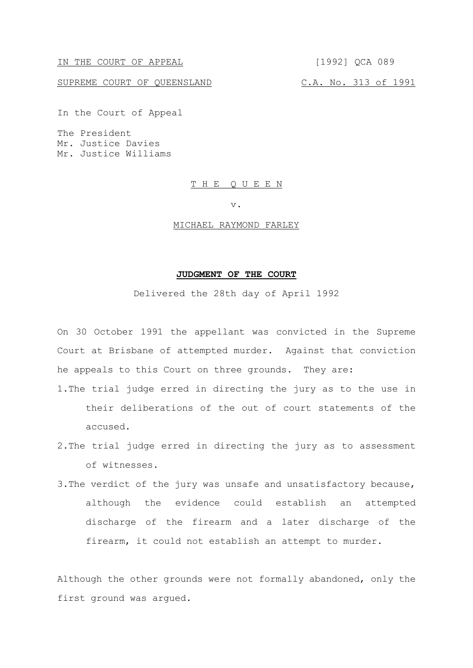IN THE COURT OF APPEAL [1992] QCA 089

SUPREME COURT OF QUEENSLAND C.A. No. 313 of 1991

In the Court of Appeal

The President Mr. Justice Davies Mr. Justice Williams

#### T H E Q U E E N

v.

#### MICHAEL RAYMOND FARLEY

### **JUDGMENT OF THE COURT**

Delivered the 28th day of April 1992

On 30 October 1991 the appellant was convicted in the Supreme Court at Brisbane of attempted murder. Against that conviction he appeals to this Court on three grounds. They are:

1.The trial judge erred in directing the jury as to the use in their deliberations of the out of court statements of the accused.

- 2.The trial judge erred in directing the jury as to assessment of witnesses.
- 3.The verdict of the jury was unsafe and unsatisfactory because, although the evidence could establish an attempted discharge of the firearm and a later discharge of the firearm, it could not establish an attempt to murder.

Although the other grounds were not formally abandoned, only the first ground was argued.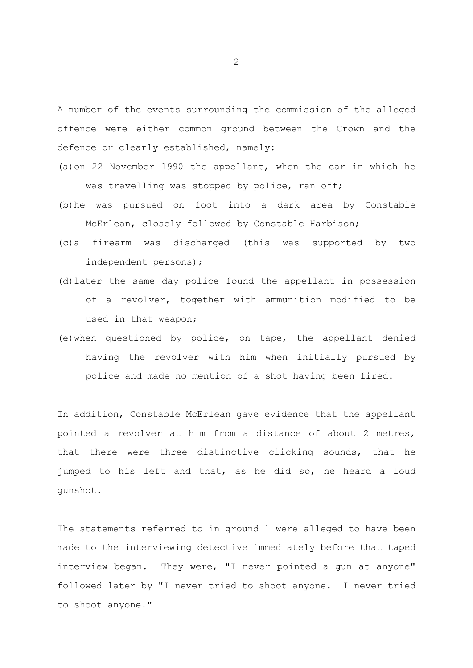A number of the events surrounding the commission of the alleged offence were either common ground between the Crown and the defence or clearly established, namely:

- (a)on 22 November 1990 the appellant, when the car in which he was travelling was stopped by police, ran off;
- (b)he was pursued on foot into a dark area by Constable McErlean, closely followed by Constable Harbison;
- (c)a firearm was discharged (this was supported by two independent persons);
- (d)later the same day police found the appellant in possession of a revolver, together with ammunition modified to be used in that weapon;
- (e)when questioned by police, on tape, the appellant denied having the revolver with him when initially pursued by police and made no mention of a shot having been fired.

In addition, Constable McErlean gave evidence that the appellant pointed a revolver at him from a distance of about 2 metres, that there were three distinctive clicking sounds, that he jumped to his left and that, as he did so, he heard a loud gunshot.

The statements referred to in ground 1 were alleged to have been made to the interviewing detective immediately before that taped interview began. They were, "I never pointed a gun at anyone" followed later by "I never tried to shoot anyone. I never tried to shoot anyone."

2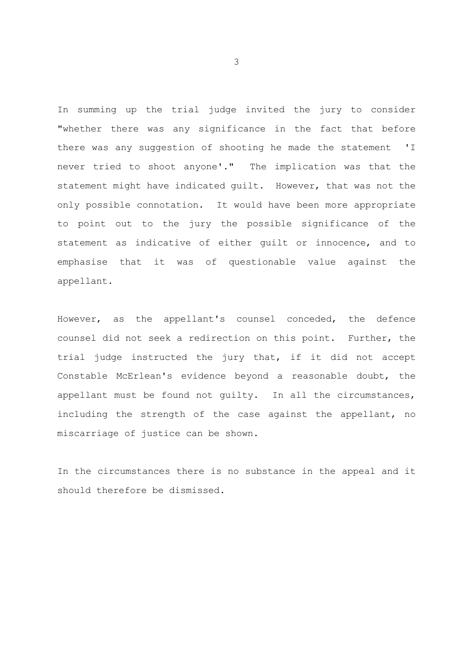In summing up the trial judge invited the jury to consider "whether there was any significance in the fact that before there was any suggestion of shooting he made the statement 'I never tried to shoot anyone'." The implication was that the statement might have indicated guilt. However, that was not the only possible connotation. It would have been more appropriate to point out to the jury the possible significance of the statement as indicative of either guilt or innocence, and to emphasise that it was of questionable value against the appellant.

However, as the appellant's counsel conceded, the defence counsel did not seek a redirection on this point. Further, the trial judge instructed the jury that, if it did not accept Constable McErlean's evidence beyond a reasonable doubt, the appellant must be found not guilty. In all the circumstances, including the strength of the case against the appellant, no miscarriage of justice can be shown.

In the circumstances there is no substance in the appeal and it should therefore be dismissed.

3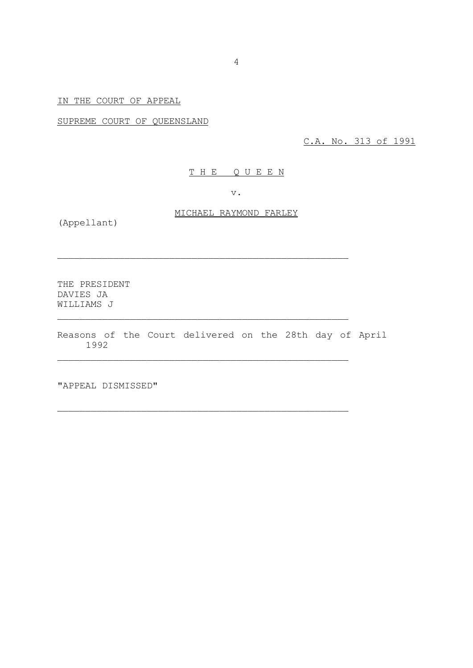# IN THE COURT OF APPEAL

SUPREME COURT OF QUEENSLAND

C.A. No. 313 of 1991

## T H E Q U E E N

v.

# MICHAEL RAYMOND FARLEY

(Appellant)

THE PRESIDENT DAVIES JA WILLIAMS J

Reasons of the Court delivered on the 28th day of April 1992

\_\_\_\_\_\_\_\_\_\_\_\_\_\_\_\_\_\_\_\_\_\_\_\_\_\_\_\_\_\_\_\_\_\_\_\_\_\_\_\_\_\_\_\_\_\_\_\_\_\_\_\_

\_\_\_\_\_\_\_\_\_\_\_\_\_\_\_\_\_\_\_\_\_\_\_\_\_\_\_\_\_\_\_\_\_\_\_\_\_\_\_\_\_\_\_\_\_\_\_\_\_\_\_\_

\_\_\_\_\_\_\_\_\_\_\_\_\_\_\_\_\_\_\_\_\_\_\_\_\_\_\_\_\_\_\_\_\_\_\_\_\_\_\_\_\_\_\_\_\_\_\_\_\_\_\_\_

\_\_\_\_\_\_\_\_\_\_\_\_\_\_\_\_\_\_\_\_\_\_\_\_\_\_\_\_\_\_\_\_\_\_\_\_\_\_\_\_\_\_\_\_\_\_\_\_\_\_\_\_

"APPEAL DISMISSED"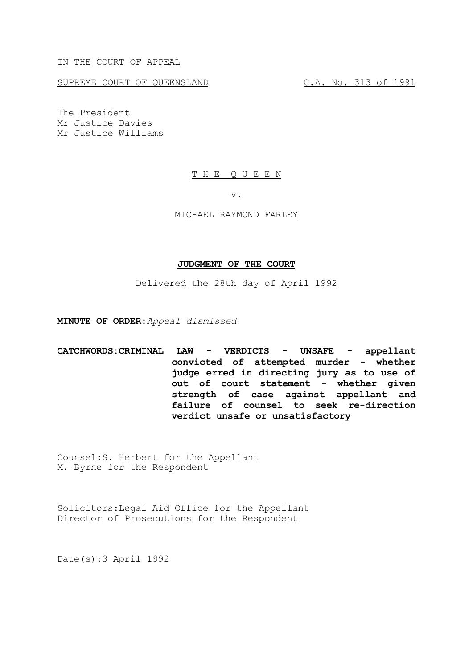IN THE COURT OF APPEAL

SUPREME COURT OF QUEENSLAND C.A. No. 313 of 1991

The President Mr Justice Davies Mr Justice Williams

### T H E Q U E E N

v.

#### MICHAEL RAYMOND FARLEY

## **JUDGMENT OF THE COURT**

Delivered the 28th day of April 1992

**MINUTE OF ORDER:***Appeal dismissed*

**CATCHWORDS:CRIMINAL LAW - VERDICTS - UNSAFE - appellant convicted of attempted murder - whether judge erred in directing jury as to use of out of court statement - whether given strength of case against appellant and failure of counsel to seek re-direction verdict unsafe or unsatisfactory**

Counsel:S. Herbert for the Appellant M. Byrne for the Respondent

Solicitors:Legal Aid Office for the Appellant Director of Prosecutions for the Respondent

Date(s):3 April 1992